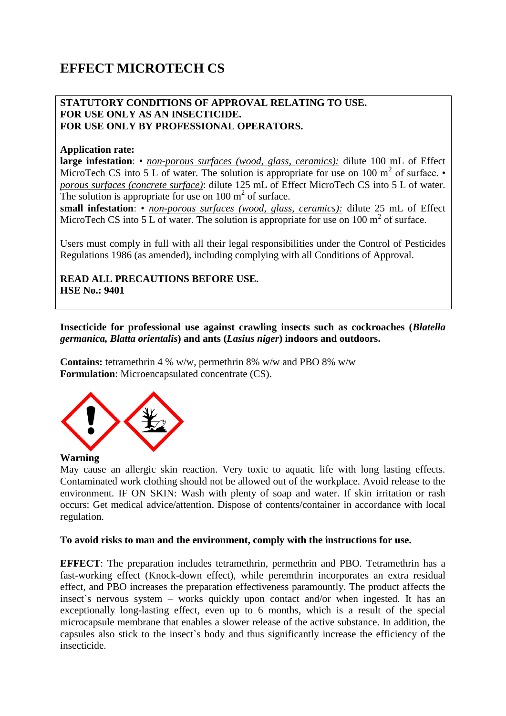# **EFFECT MICROTECH CS**

## **STATUTORY CONDITIONS OF APPROVAL RELATING TO USE. FOR USE ONLY AS AN INSECTICIDE. FOR USE ONLY BY PROFESSIONAL OPERATORS.**

### **Application rate:**

**large infestation**: • *non-porous surfaces (wood, glass, ceramics):* dilute 100 mL of Effect MicroTech CS into 5 L of water. The solution is appropriate for use on 100  $m<sup>2</sup>$  of surface. *porous surfaces (concrete surface)*: dilute 125 mL of Effect MicroTech CS into 5 L of water. The solution is appropriate for use on  $100 \text{ m}^2$  of surface.

**small infestation**: • *non-porous surfaces (wood, glass, ceramics):* dilute 25 mL of Effect MicroTech CS into 5  $\overline{L}$  of water. The solution is appropriate for use on 100 m<sup>2</sup> of surface.

Users must comply in full with all their legal responsibilities under the Control of Pesticides Regulations 1986 (as amended), including complying with all Conditions of Approval.

## **READ ALL PRECAUTIONS BEFORE USE. HSE No.: 9401**

**Insecticide for professional use against crawling insects such as cockroaches (***Blatella germanica, Blatta orientalis***) and ants (***Lasius niger***) indoors and outdoors.** 

**Contains:** tetramethrin 4 % w/w, permethrin 8% w/w and PBO 8% w/w **Formulation**: Microencapsulated concentrate (CS).



#### **Warning**

May cause an allergic skin reaction. Very toxic to aquatic life with long lasting effects. Contaminated work clothing should not be allowed out of the workplace. Avoid release to the environment. IF ON SKIN: Wash with plenty of soap and water. If skin irritation or rash occurs: Get medical advice/attention. Dispose of contents/container in accordance with local regulation.

#### **To avoid risks to man and the environment, comply with the instructions for use.**

**EFFECT**: The preparation includes tetramethrin, permethrin and PBO. Tetramethrin has a fast-working effect (Knock-down effect), while peremthrin incorporates an extra residual effect, and PBO increases the preparation effectiveness paramountly. The product affects the insect`s nervous system – works quickly upon contact and/or when ingested. It has an exceptionally long-lasting effect, even up to 6 months, which is a result of the special microcapsule membrane that enables a slower release of the active substance. In addition, the capsules also stick to the insect`s body and thus significantly increase the efficiency of the insecticide.